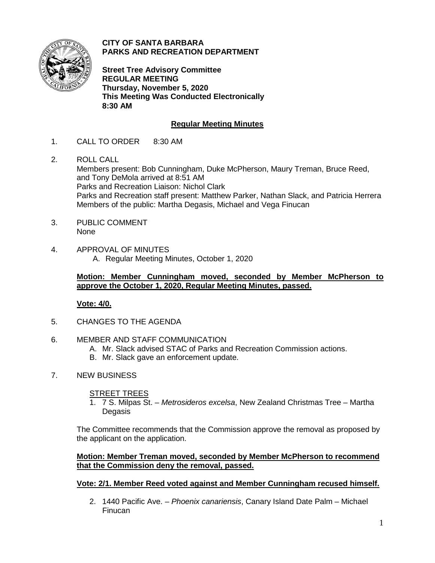

**CITY OF SANTA BARBARA PARKS AND RECREATION DEPARTMENT**

**Street Tree Advisory Committee REGULAR MEETING Thursday, November 5, 2020 This Meeting Was Conducted Electronically 8:30 AM**

# **Regular Meeting Minutes**

- 1. CALL TO ORDER 8:30 AM
- 2. ROLL CALL Members present: Bob Cunningham, Duke McPherson, Maury Treman, Bruce Reed, and Tony DeMola arrived at 8:51 AM Parks and Recreation Liaison: Nichol Clark Parks and Recreation staff present: Matthew Parker, Nathan Slack, and Patricia Herrera Members of the public: Martha Degasis, Michael and Vega Finucan
- 3. PUBLIC COMMENT None
- 4. APPROVAL OF MINUTES A. Regular Meeting Minutes, October 1, 2020

## **Motion: Member Cunningham moved, seconded by Member McPherson to approve the October 1, 2020, Regular Meeting Minutes, passed.**

## **Vote: 4/0.**

- 5. CHANGES TO THE AGENDA
- 6. MEMBER AND STAFF COMMUNICATION
	- A. Mr. Slack advised STAC of Parks and Recreation Commission actions.
	- B. Mr. Slack gave an enforcement update.
- 7. NEW BUSINESS

#### STREET TREES

1. 7 S. Milpas St. – *Metrosideros excelsa*, New Zealand Christmas Tree *–* Martha Degasis

The Committee recommends that the Commission approve the removal as proposed by the applicant on the application.

### **Motion: Member Treman moved, seconded by Member McPherson to recommend that the Commission deny the removal, passed.**

## **Vote: 2/1. Member Reed voted against and Member Cunningham recused himself.**

2. 1440 Pacific Ave. – *Phoenix canariensis*, Canary Island Date Palm – Michael Finucan